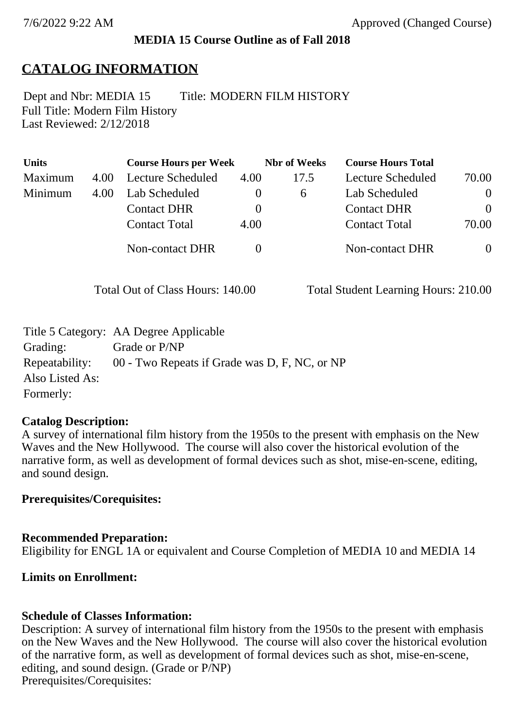## **MEDIA 15 Course Outline as of Fall 2018**

# **CATALOG INFORMATION**

Full Title: Modern Film History Last Reviewed: 2/12/2018 Dept and Nbr: MEDIA 15 Title: MODERN FILM HISTORY

| <b>Units</b> |      | <b>Course Hours per Week</b> |          | <b>Nbr</b> of Weeks | <b>Course Hours Total</b> |                |
|--------------|------|------------------------------|----------|---------------------|---------------------------|----------------|
| Maximum      | 4.00 | Lecture Scheduled            | 4.00     | 17.5                | Lecture Scheduled         | 70.00          |
| Minimum      | 4.00 | Lab Scheduled                | $\theta$ | $\sigma$            | Lab Scheduled             | $\overline{0}$ |
|              |      | <b>Contact DHR</b>           | $\theta$ |                     | <b>Contact DHR</b>        | $\theta$       |
|              |      | <b>Contact Total</b>         | 4.00     |                     | <b>Contact Total</b>      | 70.00          |
|              |      | Non-contact DHR              |          |                     | <b>Non-contact DHR</b>    | $\overline{0}$ |

Total Out of Class Hours: 140.00 Total Student Learning Hours: 210.00

|                 | Title 5 Category: AA Degree Applicable        |
|-----------------|-----------------------------------------------|
| Grading:        | Grade or P/NP                                 |
| Repeatability:  | 00 - Two Repeats if Grade was D, F, NC, or NP |
| Also Listed As: |                                               |
| Formerly:       |                                               |

## **Catalog Description:**

A survey of international film history from the 1950s to the present with emphasis on the New Waves and the New Hollywood. The course will also cover the historical evolution of the narrative form, as well as development of formal devices such as shot, mise-en-scene, editing, and sound design.

## **Prerequisites/Corequisites:**

#### **Recommended Preparation:**

Eligibility for ENGL 1A or equivalent and Course Completion of MEDIA 10 and MEDIA 14

## **Limits on Enrollment:**

#### **Schedule of Classes Information:**

Description: A survey of international film history from the 1950s to the present with emphasis on the New Waves and the New Hollywood. The course will also cover the historical evolution of the narrative form, as well as development of formal devices such as shot, mise-en-scene, editing, and sound design. (Grade or P/NP) Prerequisites/Corequisites: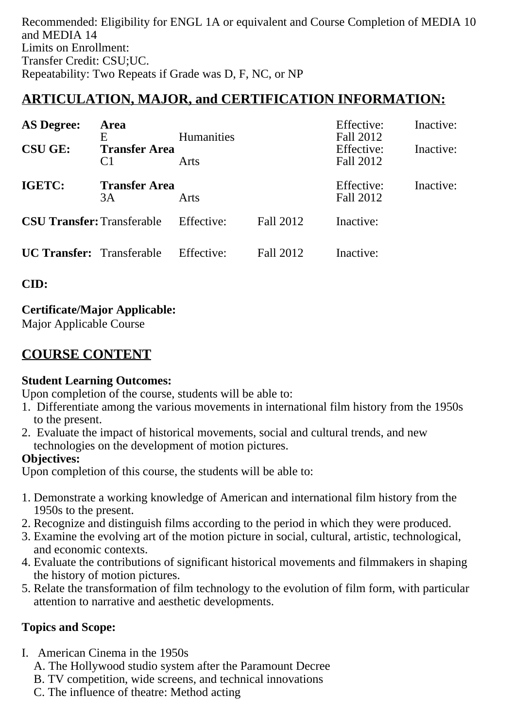Recommended: Eligibility for ENGL 1A or equivalent and Course Completion of MEDIA 10 and MEDIA 14 Limits on Enrollment: Transfer Credit: CSU;UC. Repeatability: Two Repeats if Grade was D, F, NC, or NP

# **ARTICULATION, MAJOR, and CERTIFICATION INFORMATION:**

| <b>AS Degree:</b>                 | Area                                        |                           |           | Effective:                           | Inactive: |
|-----------------------------------|---------------------------------------------|---------------------------|-----------|--------------------------------------|-----------|
| <b>CSU GE:</b>                    | E<br><b>Transfer Area</b><br>C <sub>1</sub> | <b>Humanities</b><br>Arts |           | Fall 2012<br>Effective:<br>Fall 2012 | Inactive: |
| IGETC:                            | <b>Transfer Area</b><br>3A                  | Arts                      |           | Effective:<br>Fall 2012              | Inactive: |
| <b>CSU Transfer: Transferable</b> |                                             | Effective:                | Fall 2012 | Inactive:                            |           |
| <b>UC Transfer:</b> Transferable  |                                             | Effective:                | Fall 2012 | Inactive:                            |           |

**CID:**

# **Certificate/Major Applicable:**

[Major Applicable Course](SR_ClassCheck.aspx?CourseKey=MEDIA15)

# **COURSE CONTENT**

## **Student Learning Outcomes:**

Upon completion of the course, students will be able to:

- 1. Differentiate among the various movements in international film history from the 1950s to the present.
- 2. Evaluate the impact of historical movements, social and cultural trends, and new technologies on the development of motion pictures.

# **Objectives:**

Upon completion of this course, the students will be able to:

- 1. Demonstrate a working knowledge of American and international film history from the 1950s to the present.
- 2. Recognize and distinguish films according to the period in which they were produced.
- 3. Examine the evolving art of the motion picture in social, cultural, artistic, technological, and economic contexts.
- 4. Evaluate the contributions of significant historical movements and filmmakers in shaping the history of motion pictures.
- 5. Relate the transformation of film technology to the evolution of film form, with particular attention to narrative and aesthetic developments.

# **Topics and Scope:**

- I. American Cinema in the 1950s
	- A. The Hollywood studio system after the Paramount Decree
	- B. TV competition, wide screens, and technical innovations
	- C. The influence of theatre: Method acting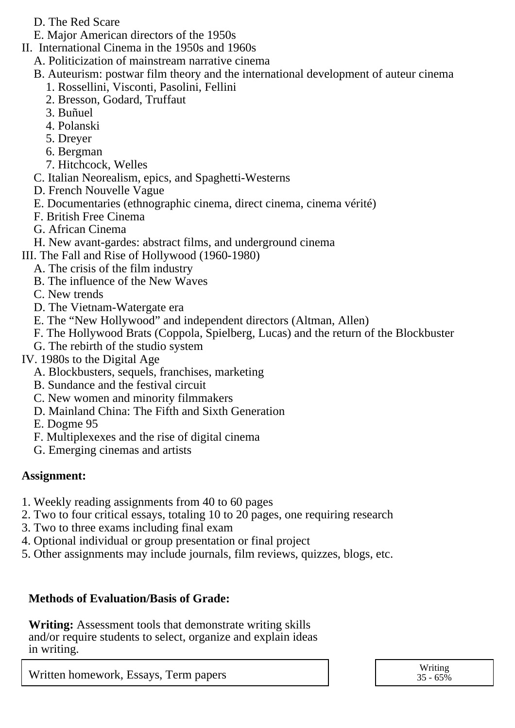- D. The Red Scare
- E. Major American directors of the 1950s
- II. International Cinema in the 1950s and 1960s
	- A. Politicization of mainstream narrative cinema
	- B. Auteurism: postwar film theory and the international development of auteur cinema
		- 1. Rossellini, Visconti, Pasolini, Fellini
		- 2. Bresson, Godard, Truffaut
		- 3. Buñuel
		- 4. Polanski
		- 5. Dreyer
		- 6. Bergman
		- 7. Hitchcock, Welles
	- C. Italian Neorealism, epics, and Spaghetti-Westerns
	- D. French Nouvelle Vague
	- E. Documentaries (ethnographic cinema, direct cinema, cinema vérité)
	- F. British Free Cinema
	- G. African Cinema
- H. New avant-gardes: abstract films, and underground cinema
- III. The Fall and Rise of Hollywood (1960-1980)
	- A. The crisis of the film industry
	- B. The influence of the New Waves
	- C. New trends
	- D. The Vietnam-Watergate era
	- E. The "New Hollywood" and independent directors (Altman, Allen)
	- F. The Hollywood Brats (Coppola, Spielberg, Lucas) and the return of the Blockbuster
	- G. The rebirth of the studio system
- IV. 1980s to the Digital Age
	- A. Blockbusters, sequels, franchises, marketing
	- B. Sundance and the festival circuit
	- C. New women and minority filmmakers
	- D. Mainland China: The Fifth and Sixth Generation
	- E. Dogme 95
	- F. Multiplexexes and the rise of digital cinema
	- G. Emerging cinemas and artists

# **Assignment:**

- 1. Weekly reading assignments from 40 to 60 pages
- 2. Two to four critical essays, totaling 10 to 20 pages, one requiring research
- 3. Two to three exams including final exam
- 4. Optional individual or group presentation or final project
- 5. Other assignments may include journals, film reviews, quizzes, blogs, etc.

# **Methods of Evaluation/Basis of Grade:**

**Writing:** Assessment tools that demonstrate writing skills and/or require students to select, organize and explain ideas in writing.

Written homework, Essays, Term papers  $\overline{y}$  and  $\overline{y}$  and  $\overline{y}$  and  $\overline{y}$  and  $\overline{y}$  and  $\overline{y}$  and  $\overline{y}$  and  $\overline{y}$  and  $\overline{y}$  and  $\overline{y}$  and  $\overline{y}$  and  $\overline{y}$  and  $\overline{y}$  and  $\overline{y}$  and  $\$